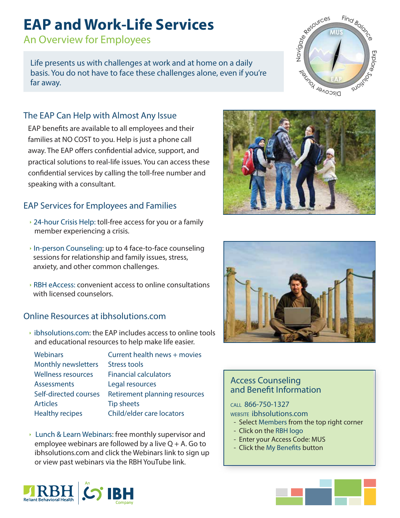# **EAP and Work-Life Services**

An Overview for Employees

Life presents us with challenges at work and at home on a daily basis. You do not have to face these challenges alone, even if you're far away.

# The EAP Can Help with Almost Any Issue

EAP benefits are available to all employees and their families at NO COST to you. Help is just a phone call away. The EAP offers confidential advice, support, and practical solutions to real-life issues. You can access these confidential services by calling the toll-free number and speaking with a consultant.

# EAP Services for Employees and Families

- ▶ 24-hour Crisis Help: toll-free access for you or a family member experiencing a crisis.
- ▶ In-person Counseling: up to 4 face-to-face counseling sessions for relationship and family issues, stress, anxiety, and other common challenges.
- RBH eAccess: convenient access to online consultations with licensed counselors.

## Online Resources at ibhsolutions.com

 ibhsolutions.com: the EAP includes access to online tools and educational resources to help make life easier.

| <b>Webinars</b>            | Current health news + movies  |
|----------------------------|-------------------------------|
| <b>Monthly newsletters</b> | <b>Stress tools</b>           |
| <b>Wellness resources</b>  | <b>Financial calculators</b>  |
| Assessments                | Legal resources               |
| Self-directed courses      | Retirement planning resources |
| <b>Articles</b>            | <b>Tip sheets</b>             |
| <b>Healthy recipes</b>     | Child/elder care locators     |

 Lunch & Learn Webinars: free monthly supervisor and employee webinars are followed by a live  $Q + A$ . Go to ibhsolutions.com and click the Webinars link to sign up or view past webinars via the RBH YouTube link.







# Navigore espurces Find Bold Co Explore Discover Form suoires

#### Access Counseling and Benefit Information

#### CALL 866-750-1327

WEBSITE ibhsolutions.com

- Select Members from the top right corner
- Click on the RBH logo
- Enter your Access Code: MUS
- Click the My Benefits button